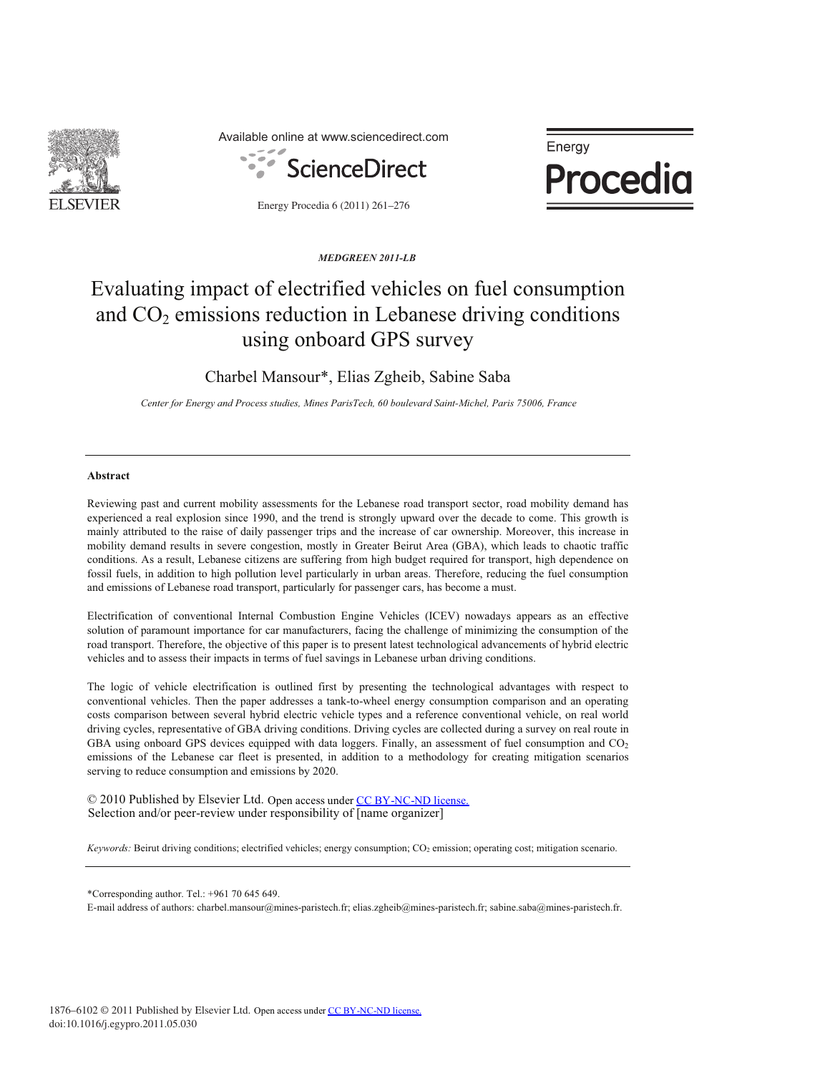

Available online at www.sciencedirect.com



Energy Procedia 6 (2011) 261–276

Energy **Procedia** 

*MEDGREEN 2011-LB*

# Evaluating impact of electrified vehicles on fuel consumption and  $CO<sub>2</sub>$  emissions reduction in Lebanese driving conditions using onboard GPS survey

Charbel Mansour\*, Elias Zgheib, Sabine Saba

*Center for Energy and Process studies, Mines ParisTech, 60 boulevard Saint-Michel, Paris 75006, France* 

# **Abstract**

Reviewing past and current mobility assessments for the Lebanese road transport sector, road mobility demand has experienced a real explosion since 1990, and the trend is strongly upward over the decade to come. This growth is mainly attributed to the raise of daily passenger trips and the increase of car ownership. Moreover, this increase in mobility demand results in severe congestion, mostly in Greater Beirut Area (GBA), which leads to chaotic traffic conditions. As a result, Lebanese citizens are suffering from high budget required for transport, high dependence on fossil fuels, in addition to high pollution level particularly in urban areas. Therefore, reducing the fuel consumption and emissions of Lebanese road transport, particularly for passenger cars, has become a must.

Electrification of conventional Internal Combustion Engine Vehicles (ICEV) nowadays appears as an effective solution of paramount importance for car manufacturers, facing the challenge of minimizing the consumption of the road transport. Therefore, the objective of this paper is to present latest technological advancements of hybrid electric vehicles and to assess their impacts in terms of fuel savings in Lebanese urban driving conditions.

The logic of vehicle electrification is outlined first by presenting the technological advantages with respect to conventional vehicles. Then the paper addresses a tank-to-wheel energy consumption comparison and an operating costs comparison between several hybrid electric vehicle types and a reference conventional vehicle, on real world driving cycles, representative of GBA driving conditions. Driving cycles are collected during a survey on real route in GBA using onboard GPS devices equipped with data loggers. Finally, an assessment of fuel consumption and CO<sub>2</sub> emissions of the Lebanese car fleet is presented, in addition to a methodology for creating mitigation scenarios serving to reduce consumption and emissions by 2020.

© 2010 Published by Elsevier Ltd. Open access under [CC BY-NC-ND license.](http://creativecommons.org/licenses/by-nc-nd/3.0/)Selection and/or peer-review under responsibility of [name organizer]

*Keywords:* Beirut driving conditions; electrified vehicles; energy consumption; CO<sub>2</sub> emission; operating cost; mitigation scenario.

\*Corresponding author. Tel.: +961 70 645 649.

E-mail address of authors: charbel.mansour@mines-paristech.fr; elias.zgheib@mines-paristech.fr; sabine.saba@mines-paristech.fr.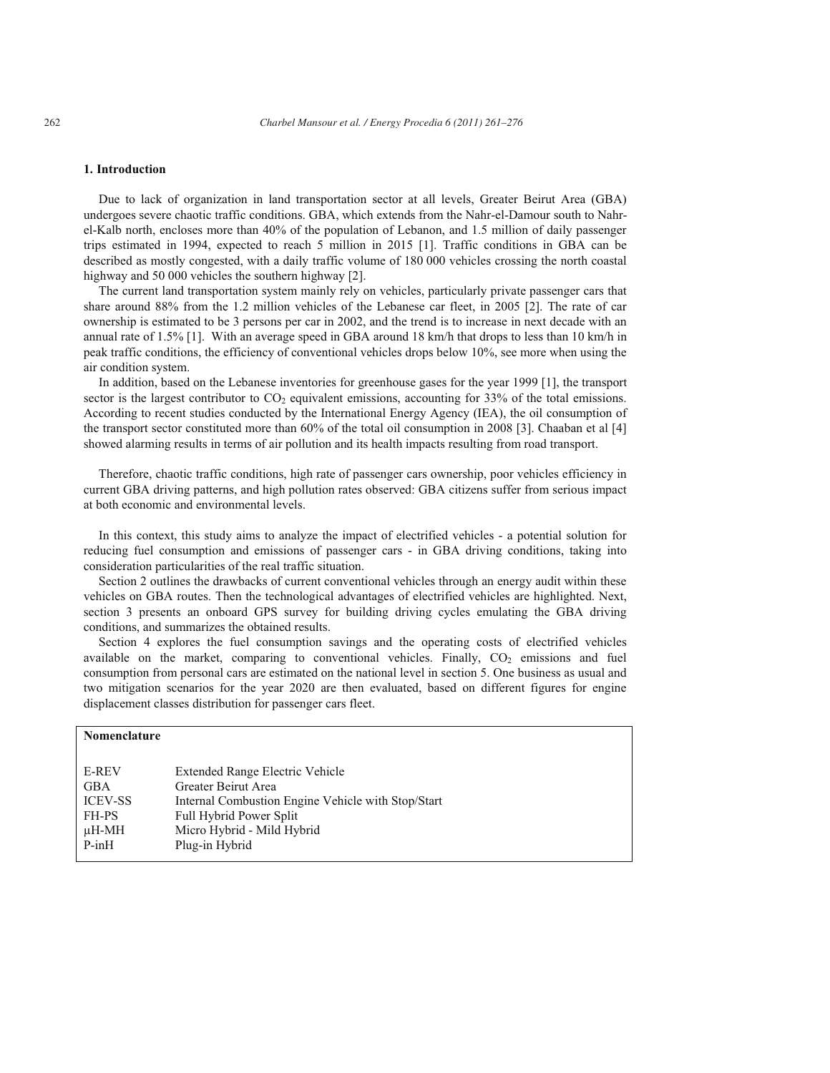# **1. Introduction**

Due to lack of organization in land transportation sector at all levels, Greater Beirut Area (GBA) undergoes severe chaotic traffic conditions. GBA, which extends from the Nahr-el-Damour south to Nahrel-Kalb north, encloses more than 40% of the population of Lebanon, and 1.5 million of daily passenger trips estimated in 1994, expected to reach 5 million in 2015 [1]. Traffic conditions in GBA can be described as mostly congested, with a daily traffic volume of 180 000 vehicles crossing the north coastal highway and 50 000 vehicles the southern highway [2].

The current land transportation system mainly rely on vehicles, particularly private passenger cars that share around 88% from the 1.2 million vehicles of the Lebanese car fleet, in 2005 [2]. The rate of car ownership is estimated to be 3 persons per car in 2002, and the trend is to increase in next decade with an annual rate of 1.5% [1]. With an average speed in GBA around 18 km/h that drops to less than 10 km/h in peak traffic conditions, the efficiency of conventional vehicles drops below 10%, see more when using the air condition system.

In addition, based on the Lebanese inventories for greenhouse gases for the year 1999 [1], the transport sector is the largest contributor to CO<sub>2</sub> equivalent emissions, accounting for 33% of the total emissions. According to recent studies conducted by the International Energy Agency (IEA), the oil consumption of the transport sector constituted more than 60% of the total oil consumption in 2008 [3]. Chaaban et al [4] showed alarming results in terms of air pollution and its health impacts resulting from road transport.

Therefore, chaotic traffic conditions, high rate of passenger cars ownership, poor vehicles efficiency in current GBA driving patterns, and high pollution rates observed: GBA citizens suffer from serious impact at both economic and environmental levels.

In this context, this study aims to analyze the impact of electrified vehicles - a potential solution for reducing fuel consumption and emissions of passenger cars - in GBA driving conditions, taking into consideration particularities of the real traffic situation.

Section 2 outlines the drawbacks of current conventional vehicles through an energy audit within these vehicles on GBA routes. Then the technological advantages of electrified vehicles are highlighted. Next, section 3 presents an onboard GPS survey for building driving cycles emulating the GBA driving conditions, and summarizes the obtained results.

Section 4 explores the fuel consumption savings and the operating costs of electrified vehicles available on the market, comparing to conventional vehicles. Finally,  $CO<sub>2</sub>$  emissions and fuel consumption from personal cars are estimated on the national level in section 5. One business as usual and two mitigation scenarios for the year 2020 are then evaluated, based on different figures for engine displacement classes distribution for passenger cars fleet.

| Nomenclature   |                                                    |
|----------------|----------------------------------------------------|
|                |                                                    |
| <b>E-REV</b>   | Extended Range Electric Vehicle                    |
| <b>GBA</b>     | Greater Beirut Area                                |
| <b>ICEV-SS</b> | Internal Combustion Engine Vehicle with Stop/Start |
| FH-PS          | <b>Full Hybrid Power Split</b>                     |
| µH-MH          | Micro Hybrid - Mild Hybrid                         |
| $P-inH$        | Plug-in Hybrid                                     |
|                |                                                    |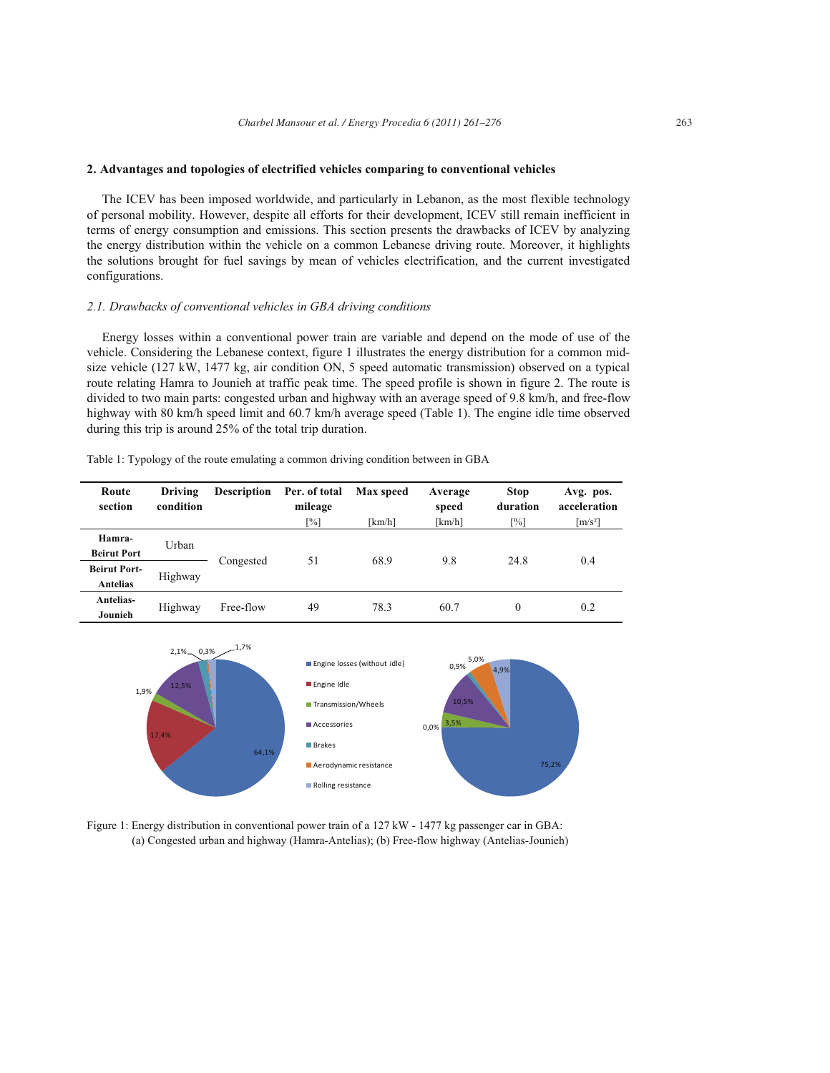# **2. Advantages and topologies of electrified vehicles comparing to conventional vehicles**

The ICEV has been imposed worldwide, and particularly in Lebanon, as the most flexible technology of personal mobility. However, despite all efforts for their development, ICEV still remain inefficient in terms of energy consumption and emissions. This section presents the drawbacks of ICEV by analyzing the energy distribution within the vehicle on a common Lebanese driving route. Moreover, it highlights the solutions brought for fuel savings by mean of vehicles electrification, and the current investigated configurations.

# *2.1. Drawbacks of conventional vehicles in GBA driving conditions*

Energy losses within a conventional power train are variable and depend on the mode of use of the vehicle. Considering the Lebanese context, figure 1 illustrates the energy distribution for a common midsize vehicle (127 kW, 1477 kg, air condition ON, 5 speed automatic transmission) observed on a typical route relating Hamra to Jounieh at traffic peak time. The speed profile is shown in figure 2. The route is divided to two main parts: congested urban and highway with an average speed of 9.8 km/h, and free-flow highway with 80 km/h speed limit and 60.7 km/h average speed (Table 1). The engine idle time observed during this trip is around 25% of the total trip duration.

| Table 1: Typology of the route emulating a common driving condition between in GBA |  |  |
|------------------------------------------------------------------------------------|--|--|
|                                                                                    |  |  |

| Route<br>section                       | Driving<br>condition | <b>Description</b> | Per. of total<br>mileage | Max speed | Average<br>speed | <b>Stop</b><br>duration | Avg. pos.<br>acceleration |
|----------------------------------------|----------------------|--------------------|--------------------------|-----------|------------------|-------------------------|---------------------------|
|                                        |                      |                    | [%]                      | [km/h]    | [km/h]           | [%]                     | $\lceil m/s^2 \rceil$     |
| Hamra-<br><b>Beirut Port</b>           | Urban                |                    |                          | 68.9      | 9.8              | 24.8                    |                           |
| <b>Beirut Port-</b><br><b>Antelias</b> | Highway              | 51<br>Congested    |                          |           |                  | 0.4                     |                           |
| Antelias-<br>Jounieh                   | Highway              | Free-flow          | 49                       | 78.3      | 60.7             | $\theta$                | 0.2                       |



Figure 1: Energy distribution in conventional power train of a 127 kW - 1477 kg passenger car in GBA: (a) Congested urban and highway (Hamra-Antelias); (b) Free-flow highway (Antelias-Jounieh)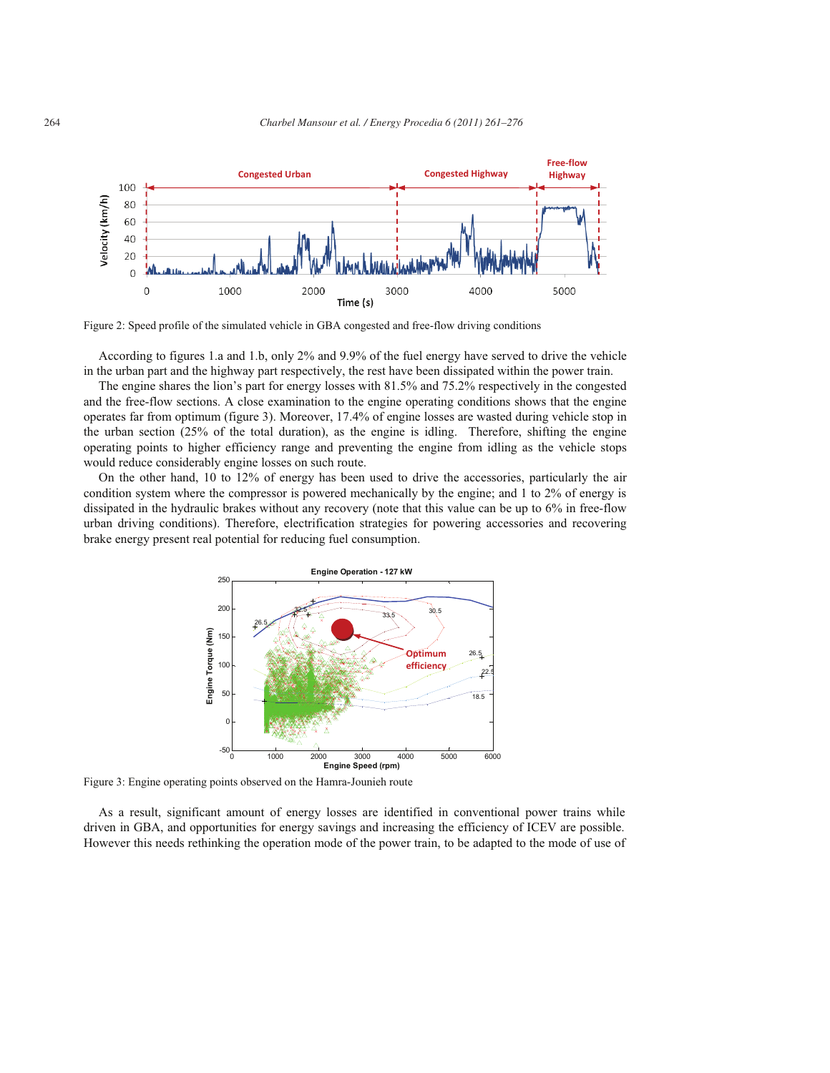



Figure 2: Speed profile of the simulated vehicle in GBA congested and free-flow driving conditions

According to figures 1.a and 1.b, only 2% and 9.9% of the fuel energy have served to drive the vehicle in the urban part and the highway part respectively, the rest have been dissipated within the power train.

The engine shares the lion's part for energy losses with 81.5% and 75.2% respectively in the congested and the free-flow sections. A close examination to the engine operating conditions shows that the engine operates far from optimum (figure 3). Moreover, 17.4% of engine losses are wasted during vehicle stop in the urban section (25% of the total duration), as the engine is idling. Therefore, shifting the engine operating points to higher efficiency range and preventing the engine from idling as the vehicle stops would reduce considerably engine losses on such route.

On the other hand, 10 to 12% of energy has been used to drive the accessories, particularly the air condition system where the compressor is powered mechanically by the engine; and 1 to 2% of energy is dissipated in the hydraulic brakes without any recovery (note that this value can be up to 6% in free-flow urban driving conditions). Therefore, electrification strategies for powering accessories and recovering brake energy present real potential for reducing fuel consumption.



Figure 3: Engine operating points observed on the Hamra-Jounieh route

As a result, significant amount of energy losses are identified in conventional power trains while driven in GBA, and opportunities for energy savings and increasing the efficiency of ICEV are possible. However this needs rethinking the operation mode of the power train, to be adapted to the mode of use of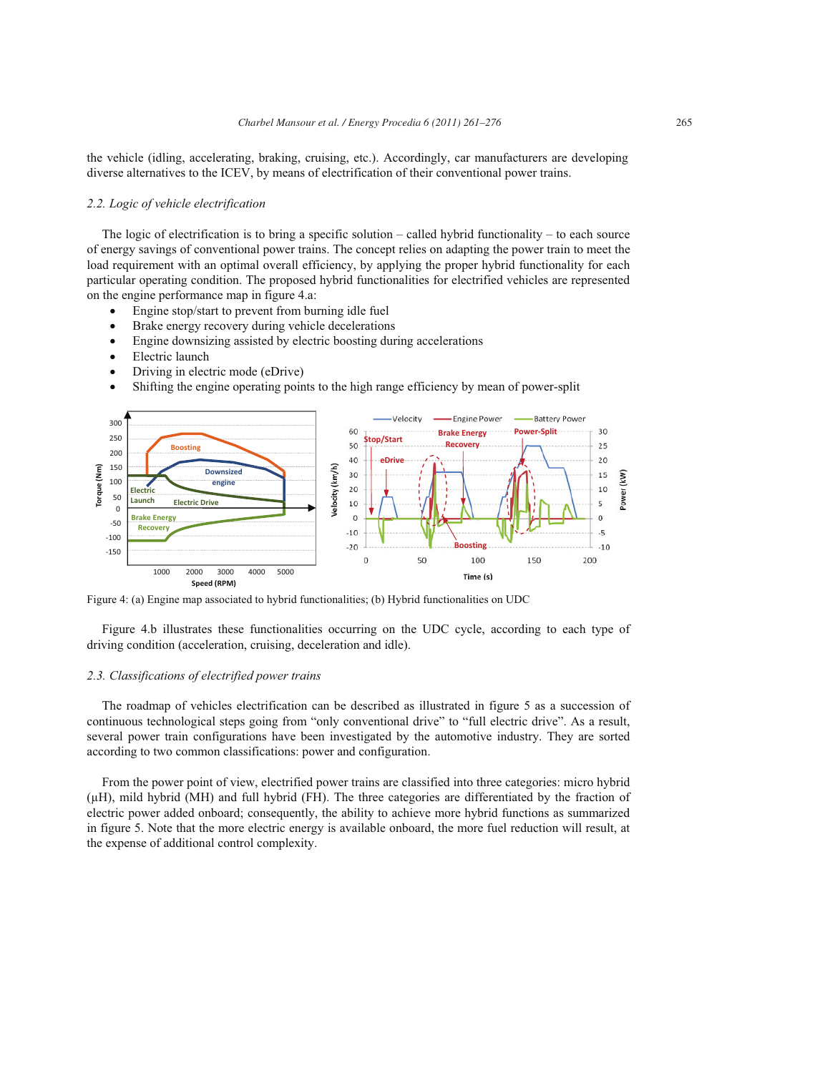the vehicle (idling, accelerating, braking, cruising, etc.). Accordingly, car manufacturers are developing diverse alternatives to the ICEV, by means of electrification of their conventional power trains.

# *2.2. Logic of vehicle electrification*

The logic of electrification is to bring a specific solution – called hybrid functionality – to each source of energy savings of conventional power trains. The concept relies on adapting the power train to meet the load requirement with an optimal overall efficiency, by applying the proper hybrid functionality for each particular operating condition. The proposed hybrid functionalities for electrified vehicles are represented on the engine performance map in figure 4.a:

- Engine stop/start to prevent from burning idle fuel
- Brake energy recovery during vehicle decelerations
- Engine downsizing assisted by electric boosting during accelerations
- Electric launch
- $\bullet$  Driving in electric mode (eDrive)
- Shifting the engine operating points to the high range efficiency by mean of power-split



Figure 4: (a) Engine map associated to hybrid functionalities; (b) Hybrid functionalities on UDC

Figure 4.b illustrates these functionalities occurring on the UDC cycle, according to each type of driving condition (acceleration, cruising, deceleration and idle).

# *2.3. Classifications of electrified power trains*

The roadmap of vehicles electrification can be described as illustrated in figure 5 as a succession of continuous technological steps going from "only conventional drive" to "full electric drive". As a result, several power train configurations have been investigated by the automotive industry. They are sorted according to two common classifications: power and configuration.

From the power point of view, electrified power trains are classified into three categories: micro hybrid (μH), mild hybrid (MH) and full hybrid (FH). The three categories are differentiated by the fraction of electric power added onboard; consequently, the ability to achieve more hybrid functions as summarized in figure 5. Note that the more electric energy is available onboard, the more fuel reduction will result, at the expense of additional control complexity.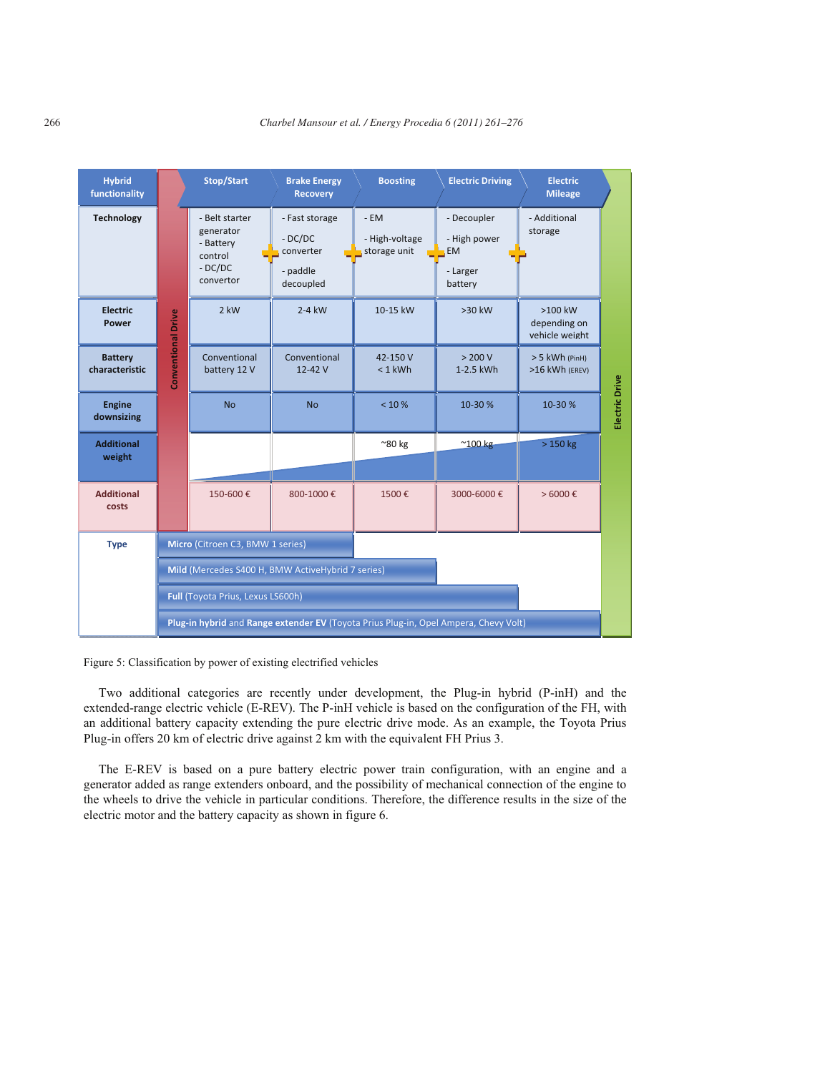

Figure 5: Classification by power of existing electrified vehicles

Two additional categories are recently under development, the Plug-in hybrid (P-inH) and the extended-range electric vehicle (E-REV). The P-inH vehicle is based on the configuration of the FH, with an additional battery capacity extending the pure electric drive mode. As an example, the Toyota Prius Plug-in offers 20 km of electric drive against 2 km with the equivalent FH Prius 3.

The E-REV is based on a pure battery electric power train configuration, with an engine and a generator added as range extenders onboard, and the possibility of mechanical connection of the engine to the wheels to drive the vehicle in particular conditions. Therefore, the difference results in the size of the electric motor and the battery capacity as shown in figure 6.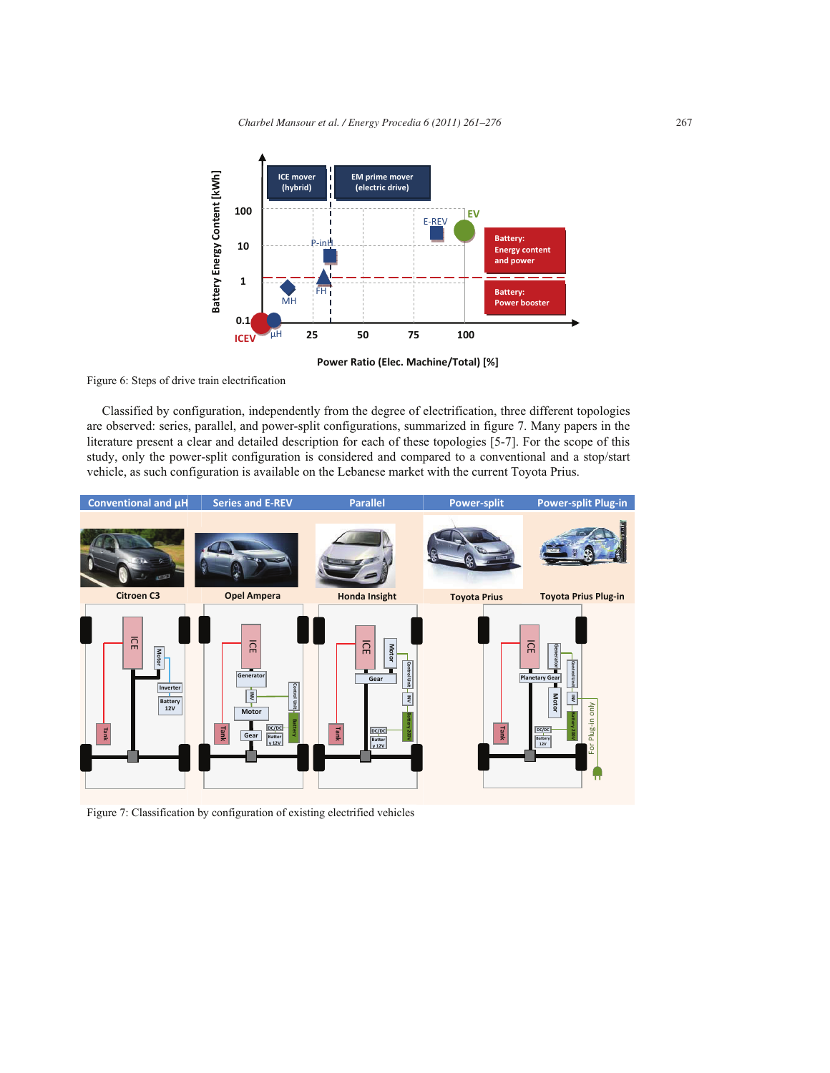

**Power Ratio (Elec. Machine/Total) [%]**

Figure 6: Steps of drive train electrification

Classified by configuration, independently from the degree of electrification, three different topologies are observed: series, parallel, and power-split configurations, summarized in figure 7. Many papers in the literature present a clear and detailed description for each of these topologies [5-7]. For the scope of this study, only the power-split configuration is considered and compared to a conventional and a stop/start vehicle, as such configuration is available on the Lebanese market with the current Toyota Prius.



Figure 7: Classification by configuration of existing electrified vehicles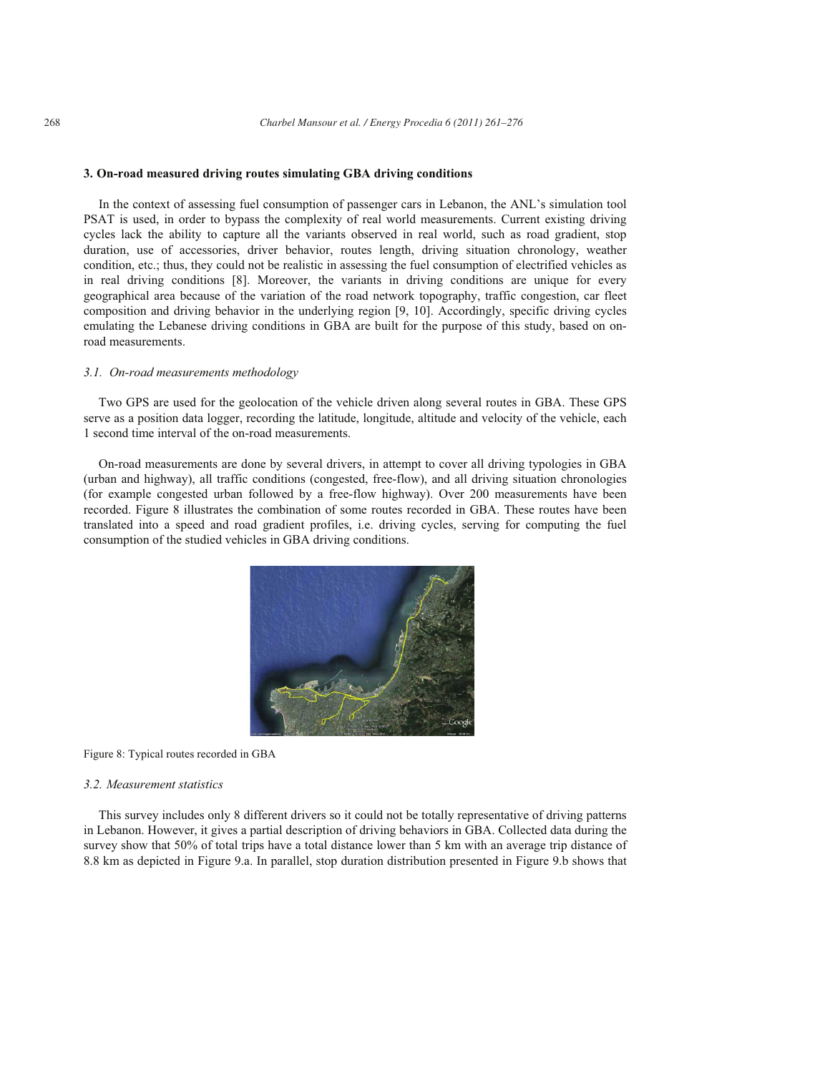# **3. On-road measured driving routes simulating GBA driving conditions**

In the context of assessing fuel consumption of passenger cars in Lebanon, the ANL's simulation tool PSAT is used, in order to bypass the complexity of real world measurements. Current existing driving cycles lack the ability to capture all the variants observed in real world, such as road gradient, stop duration, use of accessories, driver behavior, routes length, driving situation chronology, weather condition, etc.; thus, they could not be realistic in assessing the fuel consumption of electrified vehicles as in real driving conditions [8]. Moreover, the variants in driving conditions are unique for every geographical area because of the variation of the road network topography, traffic congestion, car fleet composition and driving behavior in the underlying region [9, 10]. Accordingly, specific driving cycles emulating the Lebanese driving conditions in GBA are built for the purpose of this study, based on onroad measurements.

# *3.1. On-road measurements methodology*

Two GPS are used for the geolocation of the vehicle driven along several routes in GBA. These GPS serve as a position data logger, recording the latitude, longitude, altitude and velocity of the vehicle, each 1 second time interval of the on-road measurements.

On-road measurements are done by several drivers, in attempt to cover all driving typologies in GBA (urban and highway), all traffic conditions (congested, free-flow), and all driving situation chronologies (for example congested urban followed by a free-flow highway). Over 200 measurements have been recorded. Figure 8 illustrates the combination of some routes recorded in GBA. These routes have been translated into a speed and road gradient profiles, i.e. driving cycles, serving for computing the fuel consumption of the studied vehicles in GBA driving conditions.



Figure 8: Typical routes recorded in GBA

# *3.2. Measurement statistics*

This survey includes only 8 different drivers so it could not be totally representative of driving patterns in Lebanon. However, it gives a partial description of driving behaviors in GBA. Collected data during the survey show that 50% of total trips have a total distance lower than 5 km with an average trip distance of 8.8 km as depicted in Figure 9.a. In parallel, stop duration distribution presented in Figure 9.b shows that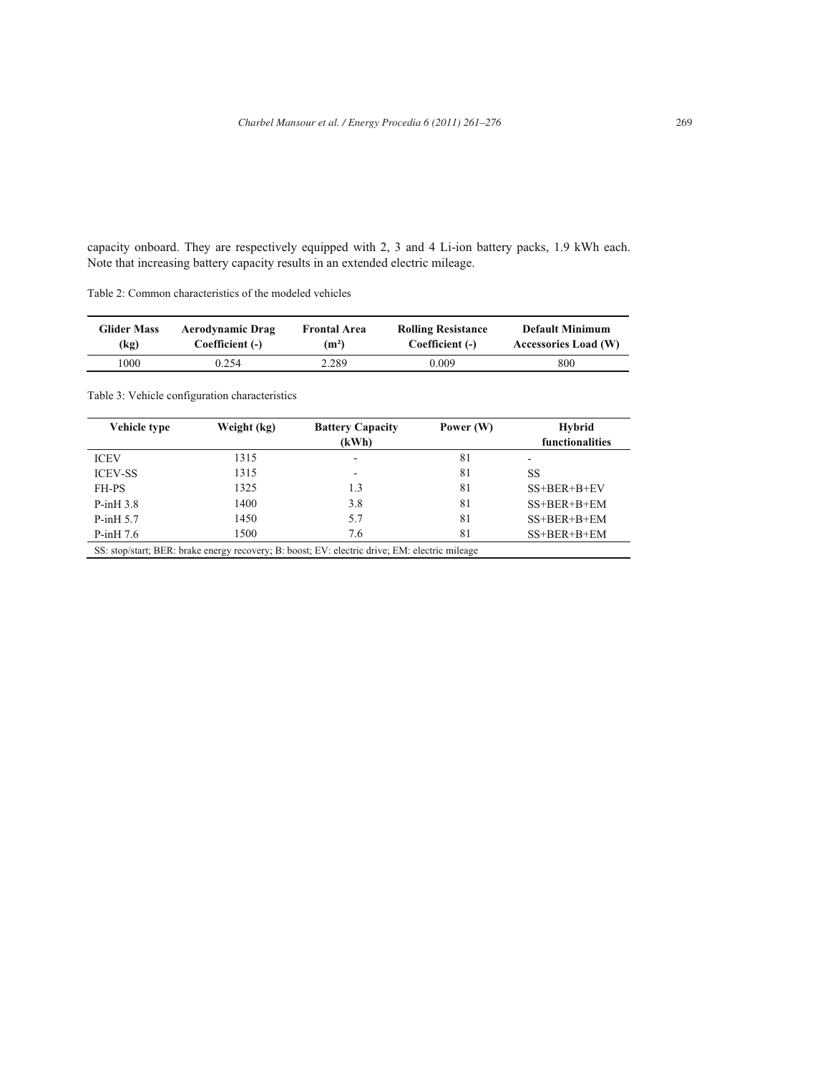capacity onboard. They are respectively equipped with 2, 3 and 4 Li-ion battery packs, 1.9 kWh each. Note that increasing battery capacity results in an extended electric mileage.

| Table 2: Common characteristics of the modeled vehicles |  |
|---------------------------------------------------------|--|
|---------------------------------------------------------|--|

| <b>Glider Mass</b> | <b>Aerodynamic Drag</b> | <b>Frontal Area</b> | <b>Rolling Resistance</b> | <b>Default Minimum</b> |
|--------------------|-------------------------|---------------------|---------------------------|------------------------|
| (kg)               | Coefficient (-)         | (m <sup>2</sup> )   | Coefficient (-)           | Accessories Load (W)   |
| 1000               | 0.254                   | 2.289               | 0.009                     | 800                    |

# Table 3: Vehicle configuration characteristics

| Vehicle type   | Weight (kg) | <b>Battery Capacity</b>  | Power (W) | Hybrid          |
|----------------|-------------|--------------------------|-----------|-----------------|
|                |             | (kWh)                    |           | functionalities |
| <b>ICEV</b>    | 1315        | $\overline{\phantom{a}}$ | 81        | ۰               |
| <b>ICEV-SS</b> | 1315        | $\overline{\phantom{a}}$ | 81        | SS              |
| FH-PS          | 1325        | 1.3                      | 81        | $SS+BER+B+EV$   |
| $P-inH3.8$     | 1400        | 3.8                      | 81        | $SS+BER+B+EM$   |
| $P-inH5.7$     | 1450        | 5.7                      | 81        | $SS+BER+B+EM$   |
| $P-inH 7.6$    | 1500        | 7.6                      | 81        | $SS+BER+B+EM$   |
|                |             |                          |           |                 |

SS: stop/start; BER: brake energy recovery; B: boost; EV: electric drive; EM: electric mileage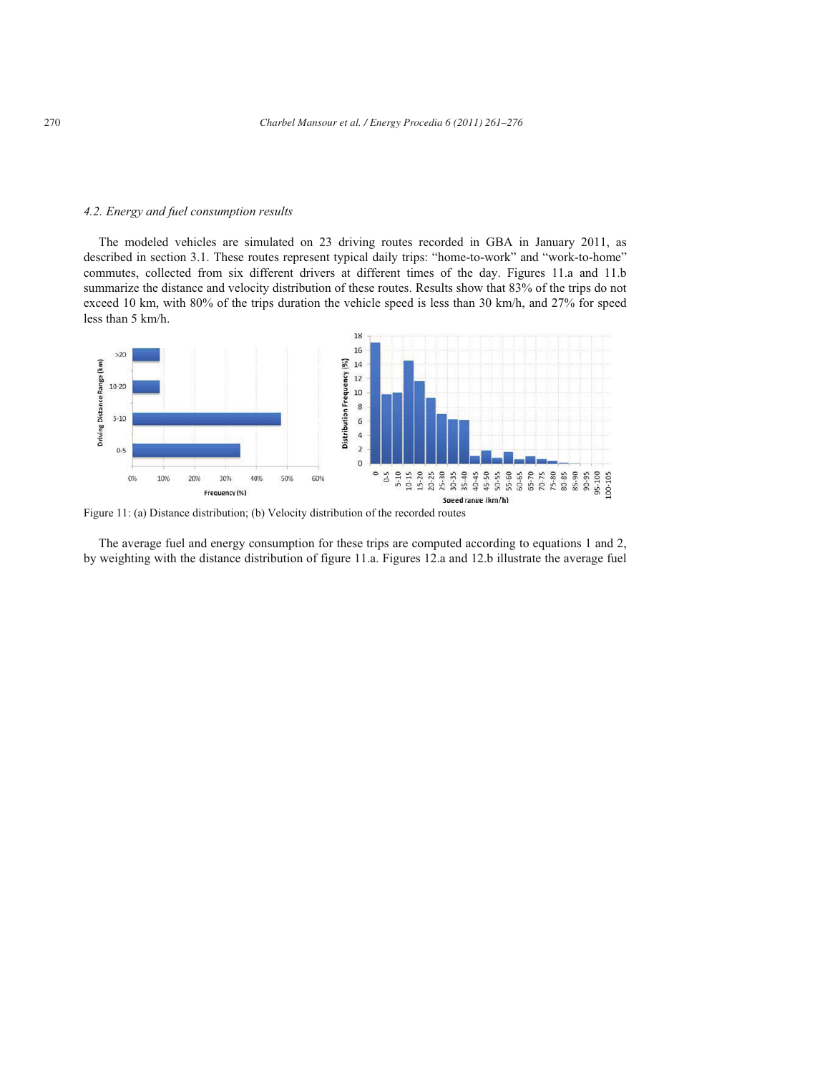#### *4.2. Energy and fuel consumption results*

The modeled vehicles are simulated on 23 driving routes recorded in GBA in January 2011, as described in section 3.1. These routes represent typical daily trips: "home-to-work" and "work-to-home" commutes, collected from six different drivers at different times of the day. Figures 11.a and 11.b summarize the distance and velocity distribution of these routes. Results show that 83% of the trips do not exceed 10 km, with 80% of the trips duration the vehicle speed is less than 30 km/h, and 27% for speed less than 5 km/h.



Figure 11: (a) Distance distribution; (b) Velocity distribution of the recorded routes

The average fuel and energy consumption for these trips are computed according to equations 1 and 2, by weighting with the distance distribution of figure 11.a. Figures 12.a and 12.b illustrate the average fuel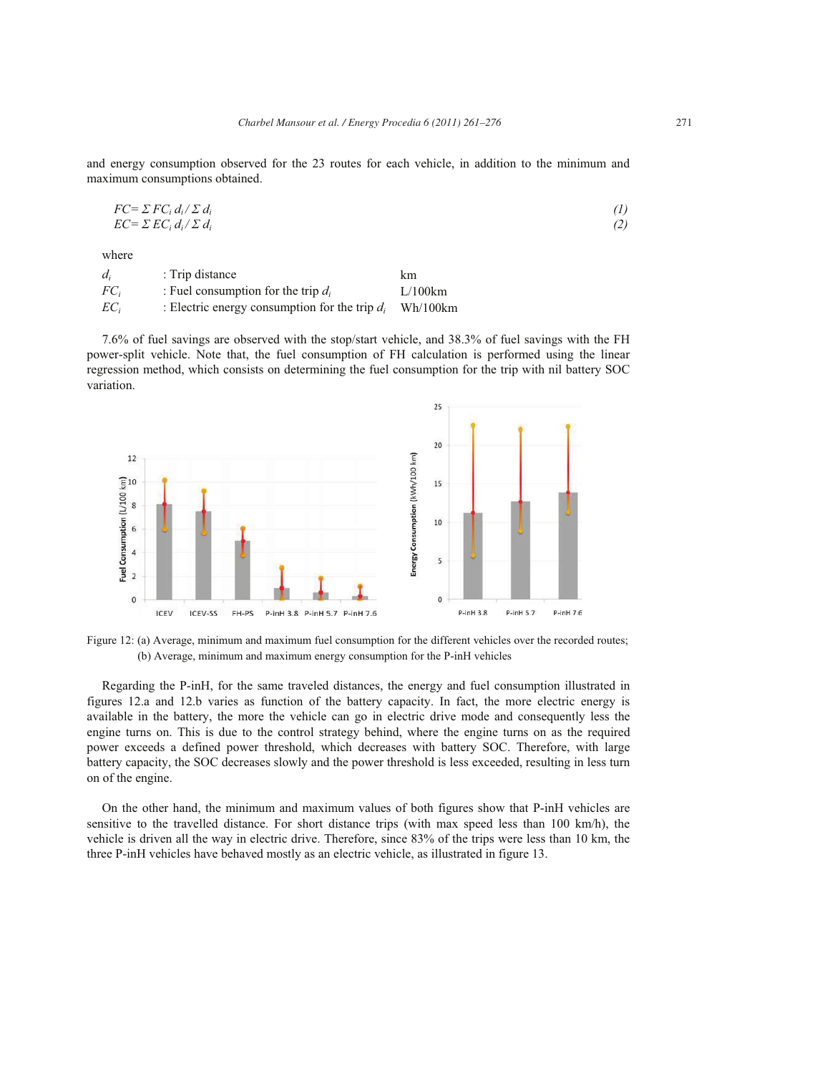and energy consumption observed for the 23 routes for each vehicle, in addition to the minimum and maximum consumptions obtained.

$$
FC = \sum FC_i d_i / \sum d_i
$$
  
\n
$$
EC = \sum EC_i d_i / \sum d_i
$$
 (1)

where

| $d_i$  | : Trip distance                                  | km       |
|--------|--------------------------------------------------|----------|
| $FC_i$ | : Fuel consumption for the trip $d_i$            | L/100km  |
| $EC_i$ | : Electric energy consumption for the trip $d_i$ | Wh/100km |

7.6% of fuel savings are observed with the stop/start vehicle, and 38.3% of fuel savings with the FH power-split vehicle. Note that, the fuel consumption of FH calculation is performed using the linear regression method, which consists on determining the fuel consumption for the trip with nil battery SOC variation.



Figure 12: (a) Average, minimum and maximum fuel consumption for the different vehicles over the recorded routes; (b) Average, minimum and maximum energy consumption for the P-inH vehicles

Regarding the P-inH, for the same traveled distances, the energy and fuel consumption illustrated in figures 12.a and 12.b varies as function of the battery capacity. In fact, the more electric energy is available in the battery, the more the vehicle can go in electric drive mode and consequently less the engine turns on. This is due to the control strategy behind, where the engine turns on as the required power exceeds a defined power threshold, which decreases with battery SOC. Therefore, with large battery capacity, the SOC decreases slowly and the power threshold is less exceeded, resulting in less turn on of the engine.

On the other hand, the minimum and maximum values of both figures show that P-inH vehicles are sensitive to the travelled distance. For short distance trips (with max speed less than 100 km/h), the vehicle is driven all the way in electric drive. Therefore, since 83% of the trips were less than 10 km, the three P-inH vehicles have behaved mostly as an electric vehicle, as illustrated in figure 13.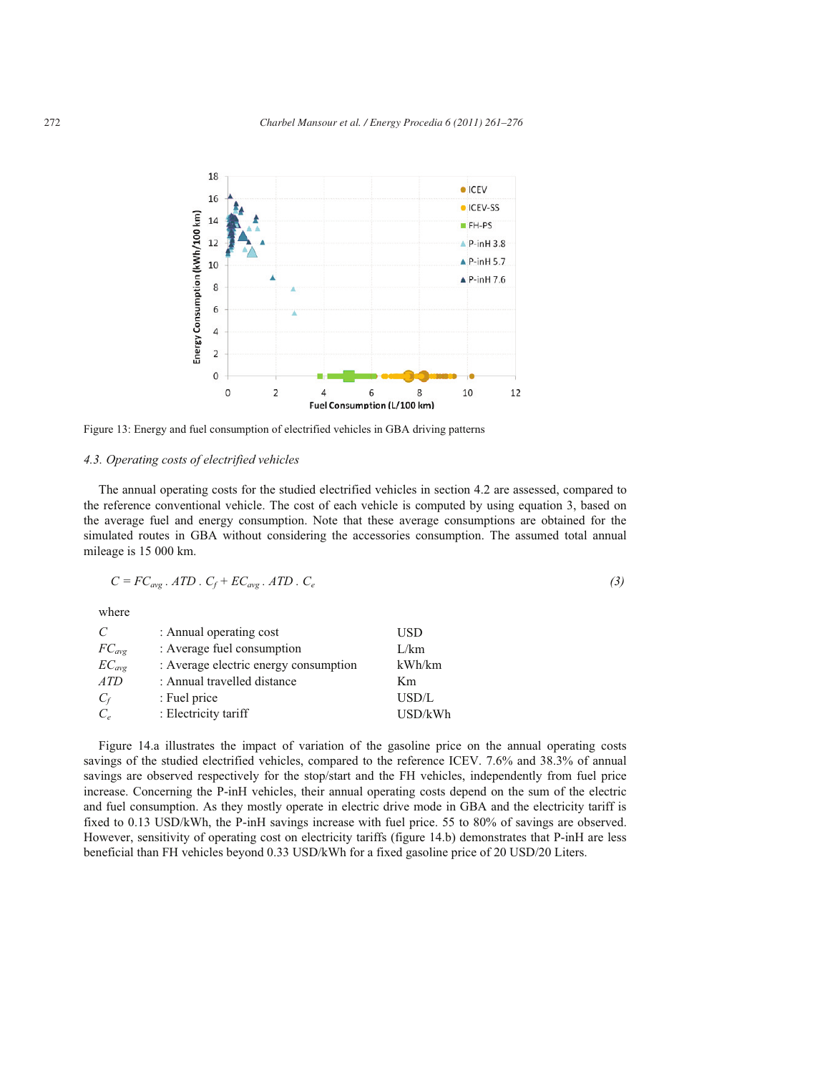

Figure 13: Energy and fuel consumption of electrified vehicles in GBA driving patterns

# *4.3. Operating costs of electrified vehicles*

The annual operating costs for the studied electrified vehicles in section 4.2 are assessed, compared to the reference conventional vehicle. The cost of each vehicle is computed by using equation 3, based on the average fuel and energy consumption. Note that these average consumptions are obtained for the simulated routes in GBA without considering the accessories consumption. The assumed total annual mileage is 15 000 km.

$$
C = FC_{avg} \cdot ATP \cdot C_f + EC_{avg} \cdot ATP \cdot C_e \tag{3}
$$

where

| C                      | : Annual operating cost               | USD     |
|------------------------|---------------------------------------|---------|
| $FC_{\text{avg}}$      | : Average fuel consumption            | L/km    |
| $EC_{\alpha\nu\sigma}$ | : Average electric energy consumption | kWh/km  |
| ATD                    | : Annual travelled distance           | Km      |
| $C_f$                  | : Fuel price                          | USD/L   |
| $C_{\rho}$             | : Electricity tariff                  | USD/kWh |

Figure 14.a illustrates the impact of variation of the gasoline price on the annual operating costs savings of the studied electrified vehicles, compared to the reference ICEV. 7.6% and 38.3% of annual savings are observed respectively for the stop/start and the FH vehicles, independently from fuel price increase. Concerning the P-inH vehicles, their annual operating costs depend on the sum of the electric and fuel consumption. As they mostly operate in electric drive mode in GBA and the electricity tariff is fixed to 0.13 USD/kWh, the P-inH savings increase with fuel price. 55 to 80% of savings are observed. However, sensitivity of operating cost on electricity tariffs (figure 14.b) demonstrates that P-inH are less beneficial than FH vehicles beyond 0.33 USD/kWh for a fixed gasoline price of 20 USD/20 Liters.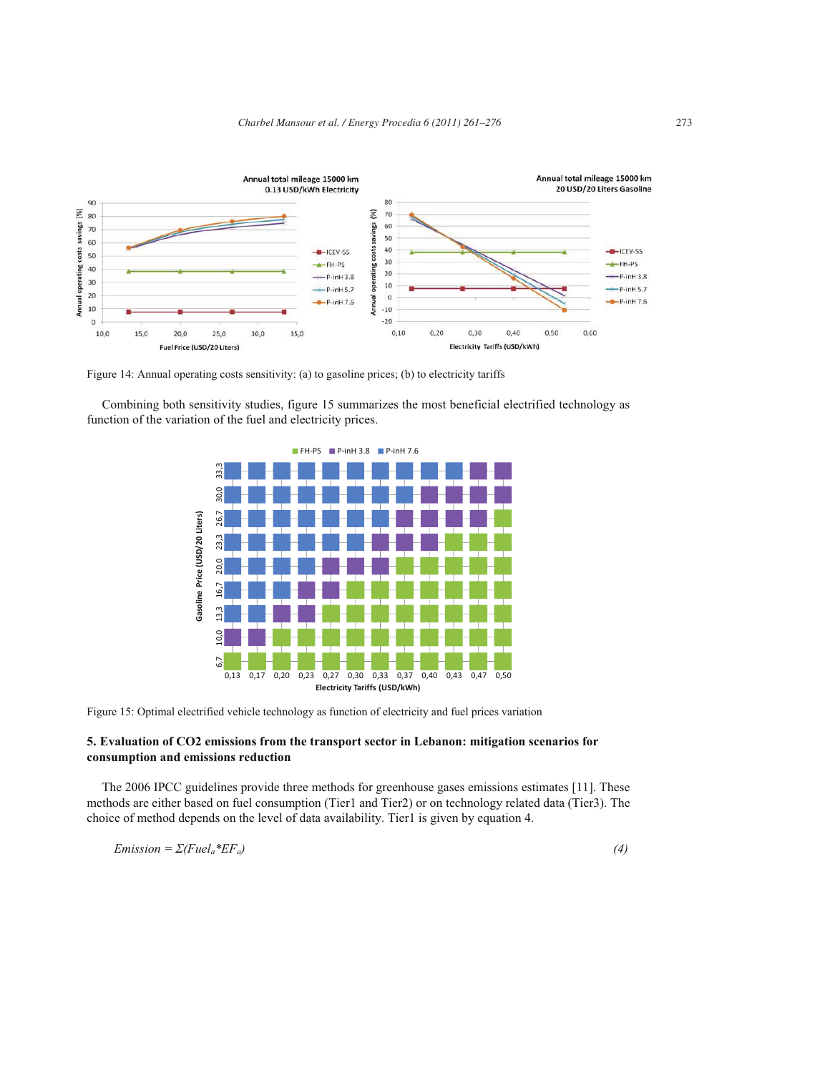

Figure 14: Annual operating costs sensitivity: (a) to gasoline prices; (b) to electricity tariffs

Combining both sensitivity studies, figure 15 summarizes the most beneficial electrified technology as function of the variation of the fuel and electricity prices.



Figure 15: Optimal electrified vehicle technology as function of electricity and fuel prices variation

# **5. Evaluation of CO2 emissions from the transport sector in Lebanon: mitigation scenarios for consumption and emissions reduction**

The 2006 IPCC guidelines provide three methods for greenhouse gases emissions estimates [11]. These methods are either based on fuel consumption (Tier1 and Tier2) or on technology related data (Tier3). The choice of method depends on the level of data availability. Tier1 is given by equation 4.

$$
Emission = \Sigma (Fuel_a * EF_a)
$$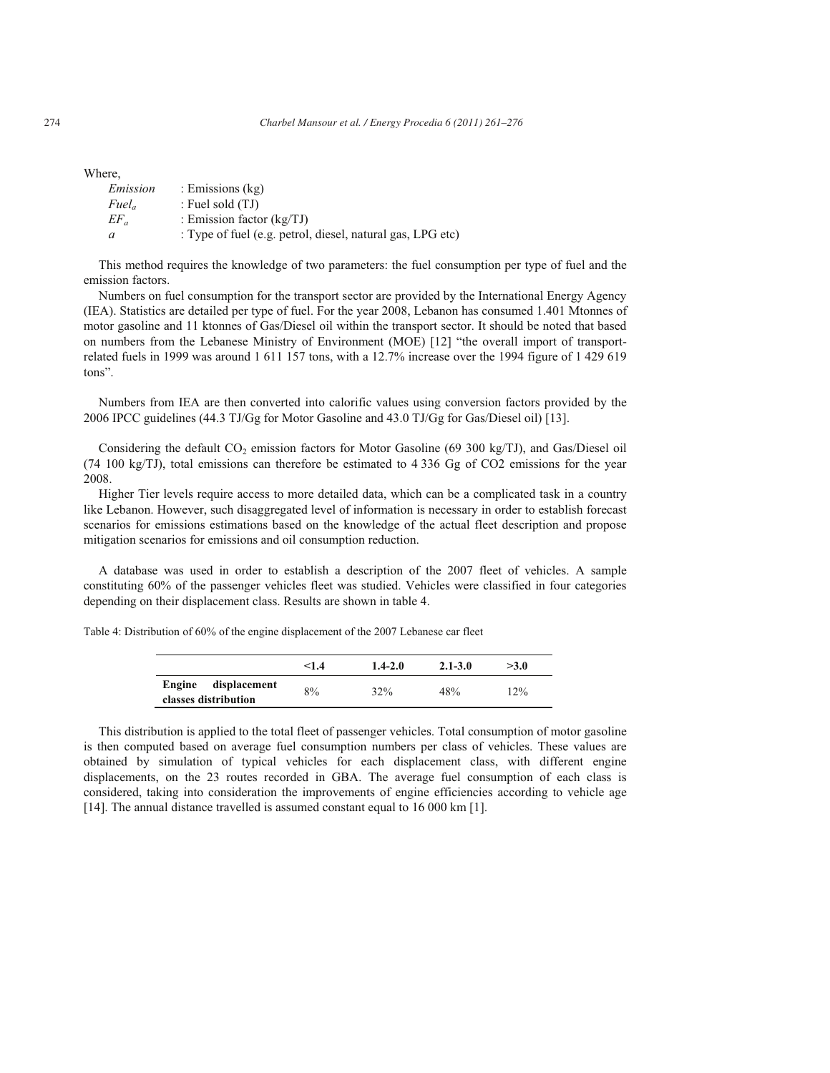Where,

| Emission          | : Emissions $(kg)$                                         |
|-------------------|------------------------------------------------------------|
| Fuel <sub>a</sub> | : Fuel sold $(TJ)$                                         |
| $EF_a$            | : Emission factor $(kg/TJ)$                                |
|                   | : Type of fuel (e.g. petrol, diesel, natural gas, LPG etc) |

This method requires the knowledge of two parameters: the fuel consumption per type of fuel and the emission factors.

Numbers on fuel consumption for the transport sector are provided by the International Energy Agency (IEA). Statistics are detailed per type of fuel. For the year 2008, Lebanon has consumed 1.401 Mtonnes of motor gasoline and 11 ktonnes of Gas/Diesel oil within the transport sector. It should be noted that based on numbers from the Lebanese Ministry of Environment (MOE) [12] "the overall import of transportrelated fuels in 1999 was around 1 611 157 tons, with a 12.7% increase over the 1994 figure of 1 429 619 tons".

Numbers from IEA are then converted into calorific values using conversion factors provided by the 2006 IPCC guidelines (44.3 TJ/Gg for Motor Gasoline and 43.0 TJ/Gg for Gas/Diesel oil) [13].

Considering the default  $CO_2$  emission factors for Motor Gasoline (69 300 kg/TJ), and Gas/Diesel oil (74 100 kg/TJ), total emissions can therefore be estimated to 4 336 Gg of CO2 emissions for the year 2008.

Higher Tier levels require access to more detailed data, which can be a complicated task in a country like Lebanon. However, such disaggregated level of information is necessary in order to establish forecast scenarios for emissions estimations based on the knowledge of the actual fleet description and propose mitigation scenarios for emissions and oil consumption reduction.

A database was used in order to establish a description of the 2007 fleet of vehicles. A sample constituting 60% of the passenger vehicles fleet was studied. Vehicles were classified in four categories depending on their displacement class. Results are shown in table 4.

Table 4: Distribution of 60% of the engine displacement of the 2007 Lebanese car fleet

|                                                | < 1.4 | $1.4 - 2.0$ | $2.1 - 3.0$ | >3.0 |
|------------------------------------------------|-------|-------------|-------------|------|
| displacement<br>Engine<br>classes distribution | 8%    | 32%         | 48%         | 12%  |

This distribution is applied to the total fleet of passenger vehicles. Total consumption of motor gasoline is then computed based on average fuel consumption numbers per class of vehicles. These values are obtained by simulation of typical vehicles for each displacement class, with different engine displacements, on the 23 routes recorded in GBA. The average fuel consumption of each class is considered, taking into consideration the improvements of engine efficiencies according to vehicle age [14]. The annual distance travelled is assumed constant equal to 16 000 km [1].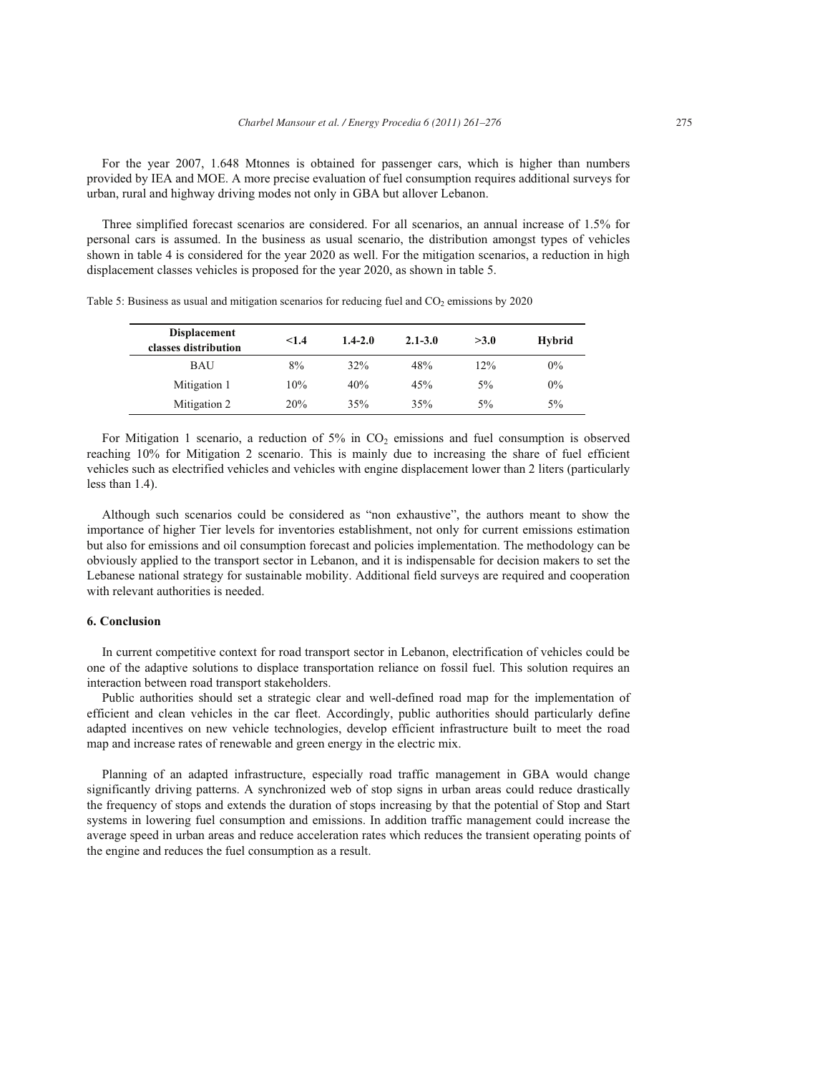For the year 2007, 1.648 Mtonnes is obtained for passenger cars, which is higher than numbers provided by IEA and MOE. A more precise evaluation of fuel consumption requires additional surveys for urban, rural and highway driving modes not only in GBA but allover Lebanon.

Three simplified forecast scenarios are considered. For all scenarios, an annual increase of 1.5% for personal cars is assumed. In the business as usual scenario, the distribution amongst types of vehicles shown in table 4 is considered for the year 2020 as well. For the mitigation scenarios, a reduction in high displacement classes vehicles is proposed for the year 2020, as shown in table 5.

| <b>Displacement</b><br>classes distribution | < 1.4 | $1.4 - 2.0$ | $2.1 - 3.0$ | >3.0  | Hybrid |
|---------------------------------------------|-------|-------------|-------------|-------|--------|
| <b>BAU</b>                                  | 8%    | 32%         | 48%         | 12%   | $0\%$  |
| Mitigation 1                                | 10%   | 40%         | 45%         | $5\%$ | 0%     |
| Mitigation 2                                | 20%   | 35%         | 35%         | $5\%$ | $5\%$  |

Table 5: Business as usual and mitigation scenarios for reducing fuel and  $CO<sub>2</sub>$  emissions by 2020

For Mitigation 1 scenario, a reduction of  $5\%$  in  $CO<sub>2</sub>$  emissions and fuel consumption is observed reaching 10% for Mitigation 2 scenario. This is mainly due to increasing the share of fuel efficient vehicles such as electrified vehicles and vehicles with engine displacement lower than 2 liters (particularly less than 1.4).

Although such scenarios could be considered as "non exhaustive", the authors meant to show the importance of higher Tier levels for inventories establishment, not only for current emissions estimation but also for emissions and oil consumption forecast and policies implementation. The methodology can be obviously applied to the transport sector in Lebanon, and it is indispensable for decision makers to set the Lebanese national strategy for sustainable mobility. Additional field surveys are required and cooperation with relevant authorities is needed.

#### **6. Conclusion**

In current competitive context for road transport sector in Lebanon, electrification of vehicles could be one of the adaptive solutions to displace transportation reliance on fossil fuel. This solution requires an interaction between road transport stakeholders.

Public authorities should set a strategic clear and well-defined road map for the implementation of efficient and clean vehicles in the car fleet. Accordingly, public authorities should particularly define adapted incentives on new vehicle technologies, develop efficient infrastructure built to meet the road map and increase rates of renewable and green energy in the electric mix.

Planning of an adapted infrastructure, especially road traffic management in GBA would change significantly driving patterns. A synchronized web of stop signs in urban areas could reduce drastically the frequency of stops and extends the duration of stops increasing by that the potential of Stop and Start systems in lowering fuel consumption and emissions. In addition traffic management could increase the average speed in urban areas and reduce acceleration rates which reduces the transient operating points of the engine and reduces the fuel consumption as a result.